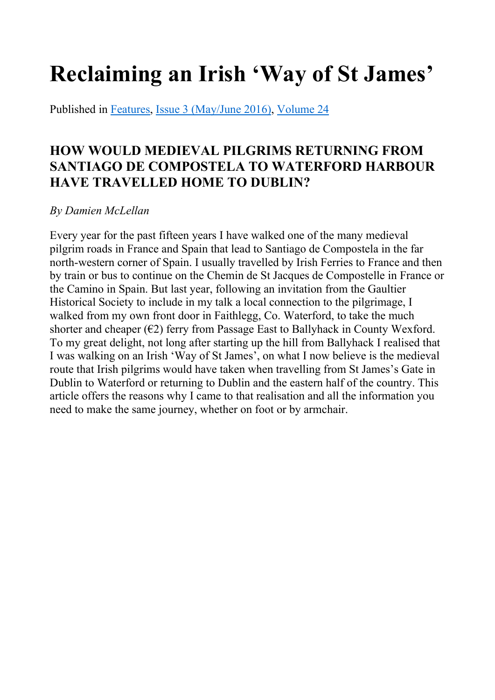# Reclaiming an Irish 'Way of St James'

Published in Features, Issue 3 (May/June 2016), Volume 24

## HOW WOULD MEDIEVAL PILGRIMS RETURNING FROM SANTIAGO DE COMPOSTELA TO WATERFORD HARBOUR HAVE TRAVELLED HOME TO DUBLIN?

### *By Damien McLellan*

Every year for the past fifteen years I have walked one of the many medieval pilgrim roads in France and Spain that lead to Santiago de Compostela in the far north-western corner of Spain. I usually travelled by Irish Ferries to France and then by train or bus to continue on the Chemin de St Jacques de Compostelle in France or the Camino in Spain. But last year, following an invitation from the Gaultier Historical Society to include in my talk a local connection to the pilgrimage, I walked from my own front door in Faithlegg, Co. Waterford, to take the much shorter and cheaper  $(\epsilon 2)$  ferry from Passage East to Ballyhack in County Wexford. To my great delight, not long after starting up the hill from Ballyhack I realised that I was walking on an Irish 'Way of St James', on what I now believe is the medieval route that Irish pilgrims would have taken when travelling from St James's Gate in Dublin to Waterford or returning to Dublin and the eastern half of the country. This article offers the reasons why I came to that realisation and all the information you need to make the same journey, whether on foot or by armchair.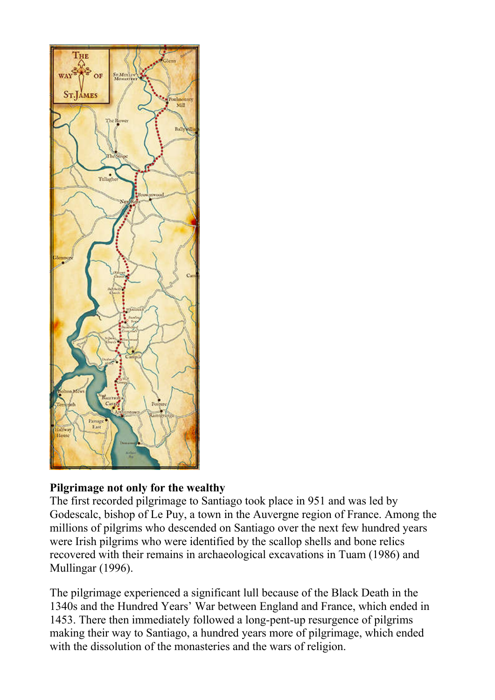

#### Pilgrimage not only for the wealthy

The first recorded pilgrimage to Santiago took place in 951 and was led by Godescalc, bishop of Le Puy, a town in the Auvergne region of France. Among the millions of pilgrims who descended on Santiago over the next few hundred years were Irish pilgrims who were identified by the scallop shells and bone relics recovered with their remains in archaeological excavations in Tuam (1986) and Mullingar (1996).

The pilgrimage experienced a significant lull because of the Black Death in the 1340s and the Hundred Years' War between England and France, which ended in 1453. There then immediately followed a long-pent-up resurgence of pilgrims making their way to Santiago, a hundred years more of pilgrimage, which ended with the dissolution of the monasteries and the wars of religion.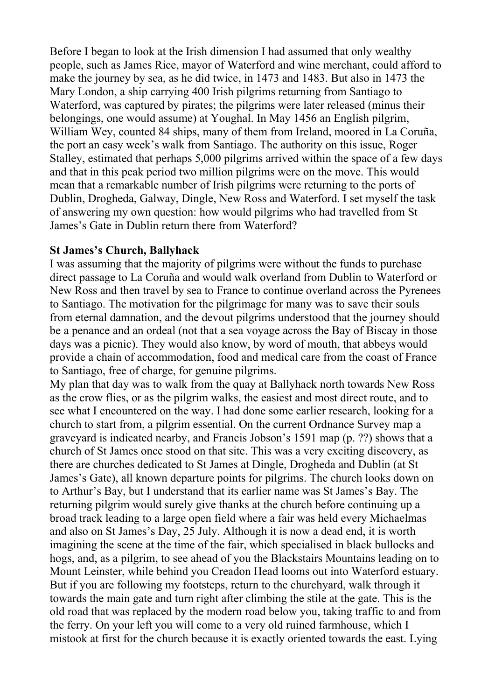Before I began to look at the Irish dimension I had assumed that only wealthy people, such as James Rice, mayor of Waterford and wine merchant, could afford to make the journey by sea, as he did twice, in 1473 and 1483. But also in 1473 the Mary London, a ship carrying 400 Irish pilgrims returning from Santiago to Waterford, was captured by pirates; the pilgrims were later released (minus their belongings, one would assume) at Youghal. In May 1456 an English pilgrim, William Wey, counted 84 ships, many of them from Ireland, moored in La Coruña, the port an easy week's walk from Santiago. The authority on this issue, Roger Stalley, estimated that perhaps 5,000 pilgrims arrived within the space of a few days and that in this peak period two million pilgrims were on the move. This would mean that a remarkable number of Irish pilgrims were returning to the ports of Dublin, Drogheda, Galway, Dingle, New Ross and Waterford. I set myself the task of answering my own question: how would pilgrims who had travelled from St James's Gate in Dublin return there from Waterford?

#### St James's Church, Ballyhack

I was assuming that the majority of pilgrims were without the funds to purchase direct passage to La Coruña and would walk overland from Dublin to Waterford or New Ross and then travel by sea to France to continue overland across the Pyrenees to Santiago. The motivation for the pilgrimage for many was to save their souls from eternal damnation, and the devout pilgrims understood that the journey should be a penance and an ordeal (not that a sea voyage across the Bay of Biscay in those days was a picnic). They would also know, by word of mouth, that abbeys would provide a chain of accommodation, food and medical care from the coast of France to Santiago, free of charge, for genuine pilgrims.

My plan that day was to walk from the quay at Ballyhack north towards New Ross as the crow flies, or as the pilgrim walks, the easiest and most direct route, and to see what I encountered on the way. I had done some earlier research, looking for a church to start from, a pilgrim essential. On the current Ordnance Survey map a graveyard is indicated nearby, and Francis Jobson's 1591 map (p. ??) shows that a church of St James once stood on that site. This was a very exciting discovery, as there are churches dedicated to St James at Dingle, Drogheda and Dublin (at St James's Gate), all known departure points for pilgrims. The church looks down on to Arthur's Bay, but I understand that its earlier name was St James's Bay. The returning pilgrim would surely give thanks at the church before continuing up a broad track leading to a large open field where a fair was held every Michaelmas and also on St James's Day, 25 July. Although it is now a dead end, it is worth imagining the scene at the time of the fair, which specialised in black bullocks and hogs, and, as a pilgrim, to see ahead of you the Blackstairs Mountains leading on to Mount Leinster, while behind you Creadon Head looms out into Waterford estuary. But if you are following my footsteps, return to the churchyard, walk through it towards the main gate and turn right after climbing the stile at the gate. This is the old road that was replaced by the modern road below you, taking traffic to and from the ferry. On your left you will come to a very old ruined farmhouse, which I mistook at first for the church because it is exactly oriented towards the east. Lying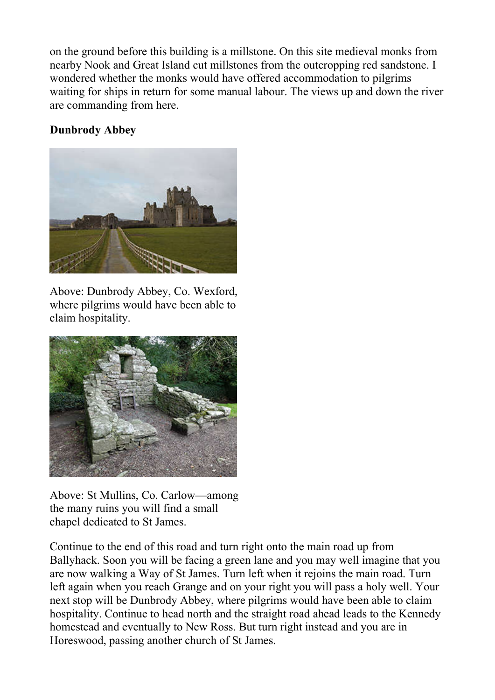on the ground before this building is a millstone. On this site medieval monks from nearby Nook and Great Island cut millstones from the outcropping red sandstone. I wondered whether the monks would have offered accommodation to pilgrims waiting for ships in return for some manual labour. The views up and down the river are commanding from here.

## Dunbrody Abbey



Above: Dunbrody Abbey, Co. Wexford, where pilgrims would have been able to claim hospitality.



Above: St Mullins, Co. Carlow—among the many ruins you will find a small chapel dedicated to St James.

Continue to the end of this road and turn right onto the main road up from Ballyhack. Soon you will be facing a green lane and you may well imagine that you are now walking a Way of St James. Turn left when it rejoins the main road. Turn left again when you reach Grange and on your right you will pass a holy well. Your next stop will be Dunbrody Abbey, where pilgrims would have been able to claim hospitality. Continue to head north and the straight road ahead leads to the Kennedy homestead and eventually to New Ross. But turn right instead and you are in Horeswood, passing another church of St James.